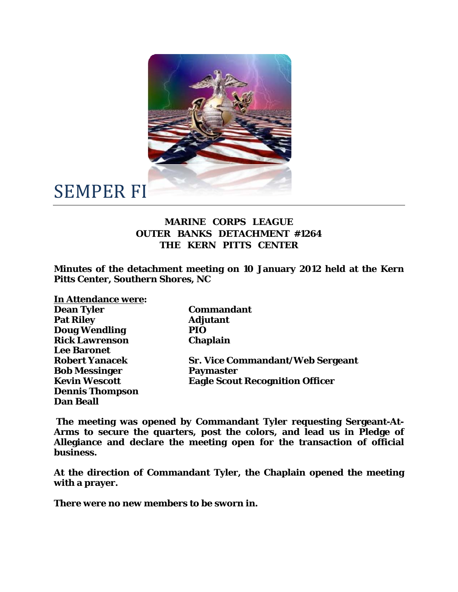

## SEMPER FI

## **MARINE CORPS LEAGUE OUTER BANKS DETACHMENT #1264 THE KERN PITTS CENTER**

**Minutes of the detachment meeting on 10 January 2012 held at the Kern Pitts Center, Southern Shores, NC** 

| In Attendance were:    |                                         |
|------------------------|-----------------------------------------|
| <b>Dean Tyler</b>      | <b>Commandant</b>                       |
| <b>Pat Riley</b>       | <b>Adjutant</b>                         |
| <b>Doug Wendling</b>   | <b>PIO</b>                              |
| <b>Rick Lawrenson</b>  | <b>Chaplain</b>                         |
| <b>Lee Baronet</b>     |                                         |
| <b>Robert Yanacek</b>  | <b>Sr. Vice Commandant/Web Sergeant</b> |
| <b>Bob Messinger</b>   | <b>Paymaster</b>                        |
| <b>Kevin Wescott</b>   | <b>Eagle Scout Recognition Officer</b>  |
| <b>Dennis Thompson</b> |                                         |
| <b>Dan Beall</b>       |                                         |

 **The meeting was opened by Commandant Tyler requesting Sergeant-At-Arms to secure the quarters, post the colors, and lead us in Pledge of Allegiance and declare the meeting open for the transaction of official business.** 

**At the direction of Commandant Tyler, the Chaplain opened the meeting with a prayer.** 

**There were no new members to be sworn in.**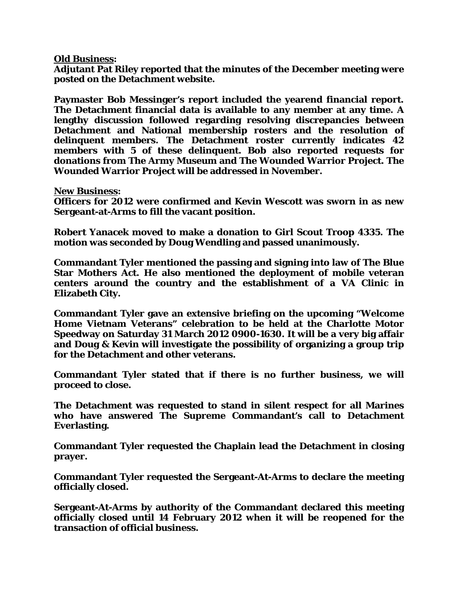## **Old Business:**

**Adjutant Pat Riley reported that the minutes of the December meeting were posted on the Detachment website.** 

**Paymaster Bob Messinger's report included the yearend financial report. The Detachment financial data is available to any member at any time. A lengthy discussion followed regarding resolving discrepancies between Detachment and National membership rosters and the resolution of delinquent members. The Detachment roster currently indicates 42 members with 5 of these delinquent. Bob also reported requests for donations from The Army Museum and The Wounded Warrior Project. The Wounded Warrior Project will be addressed in November.** 

**New Business:** 

**Officers for 2012 were confirmed and Kevin Wescott was sworn in as new Sergeant-at-Arms to fill the vacant position.** 

**Robert Yanacek moved to make a donation to Girl Scout Troop 4335. The motion was seconded by Doug Wendling and passed unanimously.** 

**Commandant Tyler mentioned the passing and signing into law of The Blue Star Mothers Act. He also mentioned the deployment of mobile veteran centers around the country and the establishment of a VA Clinic in Elizabeth City.** 

**Commandant Tyler gave an extensive briefing on the upcoming "Welcome Home Vietnam Veterans" celebration to be held at the Charlotte Motor Speedway on Saturday 31 March 2012 0900-1630. It will be a very big affair and Doug & Kevin will investigate the possibility of organizing a group trip for the Detachment and other veterans.** 

**Commandant Tyler stated that if there is no further business, we will proceed to close.** 

**The Detachment was requested to stand in silent respect for all Marines who have answered The Supreme Commandant's call to Detachment Everlasting.** 

**Commandant Tyler requested the Chaplain lead the Detachment in closing prayer.** 

**Commandant Tyler requested the Sergeant-At-Arms to declare the meeting officially closed.** 

**Sergeant-At-Arms by authority of the Commandant declared this meeting officially closed until 14 February 2012 when it will be reopened for the transaction of official business.**